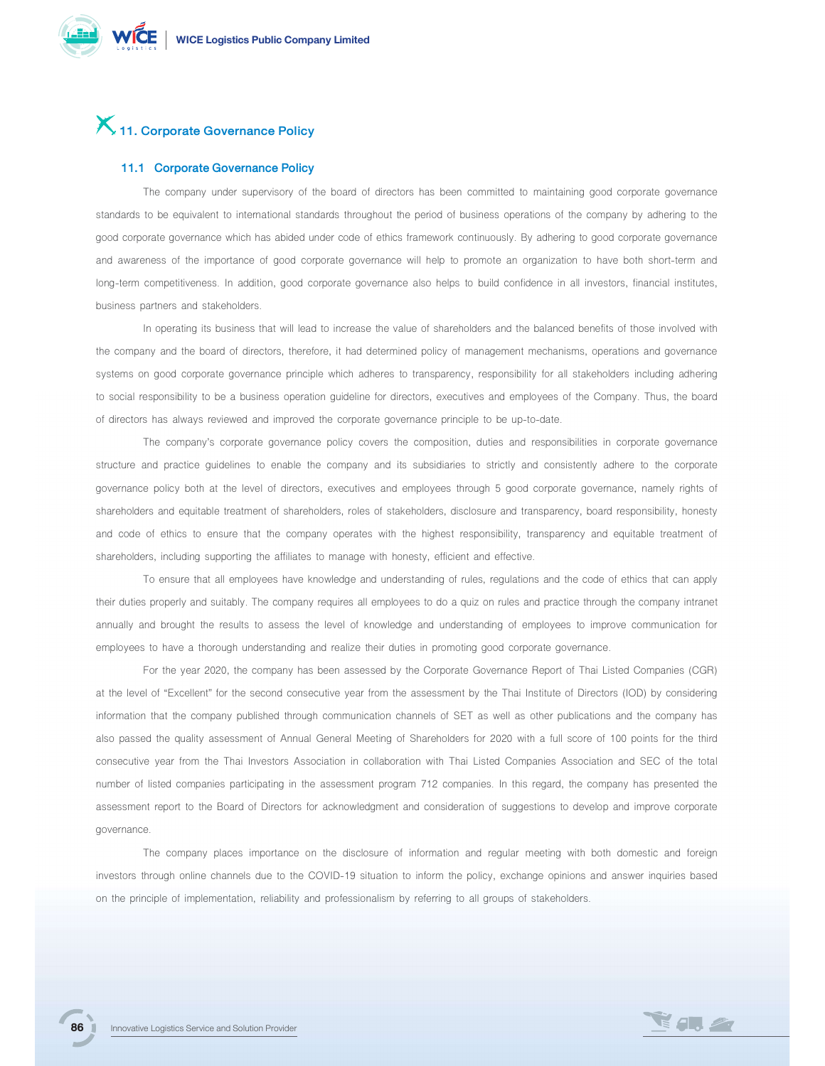

# X<sub>11.</sub> Corporate Governance Policy

# 11.1 Corporate Governance Policy

 The company under supervisory of the board of directors has been committed to maintaining good corporate governance standards to be equivalent to international standards throughout the period of business operations of the company by adhering to the good corporate governance which has abided under code of ethics framework continuously. By adhering to good corporate governance and awareness of the importance of good corporate governance will help to promote an organization to have both short-term and long-term competitiveness. In addition, good corporate governance also helps to build confidence in all investors, financial institutes, business partners and stakeholders.

 In operating its business that will lead to increase the value of shareholders and the balanced benefits of those involved with the company and the board of directors, therefore, it had determined policy of management mechanisms, operations and governance systems on good corporate governance principle which adheres to transparency, responsibility for all stakeholders including adhering to social responsibility to be a business operation guideline for directors, executives and employees of the Company. Thus, the board of directors has always reviewed and improved the corporate governance principle to be up-to-date.

 The company's corporate governance policy covers the composition, duties and responsibilities in corporate governance structure and practice guidelines to enable the company and its subsidiaries to strictly and consistently adhere to the corporate governance policy both at the level of directors, executives and employees through 5 good corporate governance, namely rights of shareholders and equitable treatment of shareholders, roles of stakeholders, disclosure and transparency, board responsibility, honesty and code of ethics to ensure that the company operates with the highest responsibility, transparency and equitable treatment of shareholders, including supporting the affiliates to manage with honesty, efficient and effective.

 To ensure that all employees have knowledge and understanding of rules, regulations and the code of ethics that can apply their duties properly and suitably. The company requires all employees to do a quiz on rules and practice through the company intranet annually and brought the results to assess the level of knowledge and understanding of employees to improve communication for employees to have a thorough understanding and realize their duties in promoting good corporate governance.

 For the year 2020, the company has been assessed by the Corporate Governance Report of Thai Listed Companies (CGR) at the level of "Excellent" for the second consecutive year from the assessment by the Thai Institute of Directors (IOD) by considering information that the company published through communication channels of SET as well as other publications and the company has also passed the quality assessment of Annual General Meeting of Shareholders for 2020 with a full score of 100 points for the third consecutive year from the Thai Investors Association in collaboration with Thai Listed Companies Association and SEC of the total number of listed companies participating in the assessment program 712 companies. In this regard, the company has presented the assessment report to the Board of Directors for acknowledgment and consideration of suggestions to develop and improve corporate governance.

 The company places importance on the disclosure of information and regular meeting with both domestic and foreign investors through online channels due to the COVID-19 situation to inform the policy, exchange opinions and answer inquiries based on the principle of implementation, reliability and professionalism by referring to all groups of stakeholders.

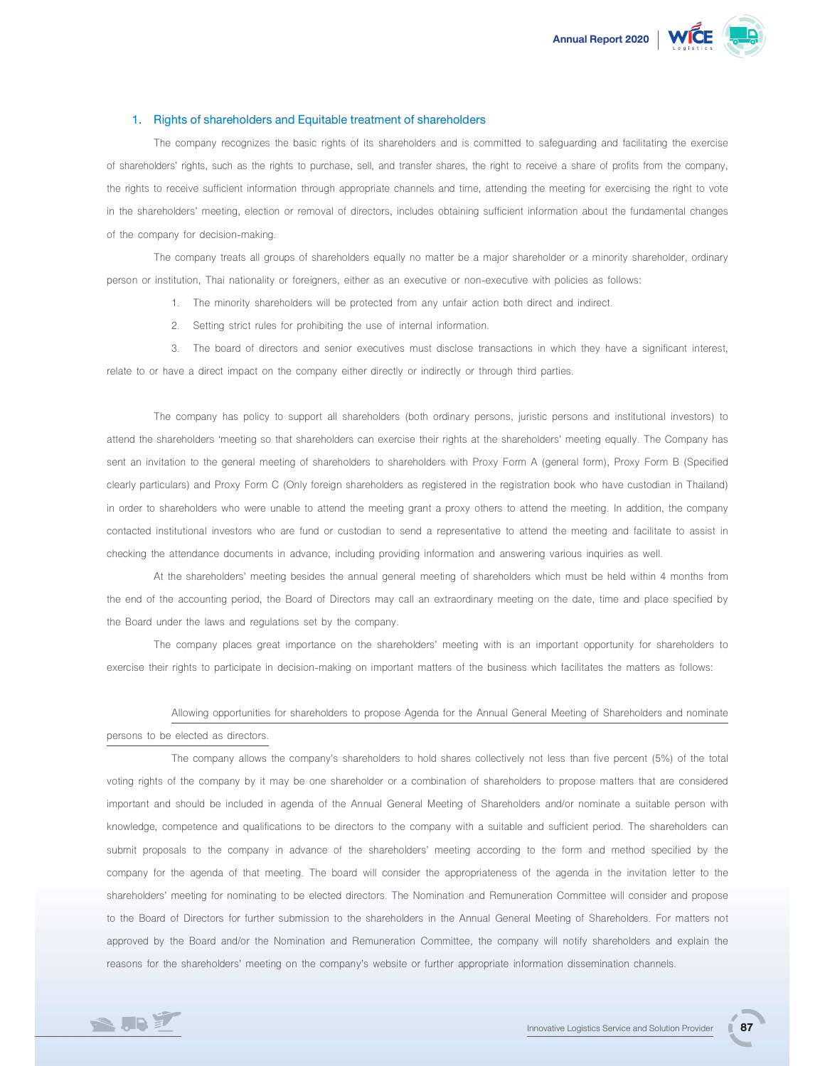# 1. Rights of shareholders and Equitable treatment of shareholders

 The company recognizes the basic rights of its shareholders and is committed to safeguarding and facilitating the exercise of shareholders' rights, such as the rights to purchase, sell, and transfer shares, the right to receive a share of profits from the company, the rights to receive sufficient information through appropriate channels and time, attending the meeting for exercising the right to vote in the shareholders' meeting, election or removal of directors, includes obtaining sufficient information about the fundamental changes of the company for decision-making.

 The company treats all groups of shareholders equally no matter be a major shareholder or a minority shareholder, ordinary person or institution, Thai nationality or foreigners, either as an executive or non-executive with policies as follows:

- 1. The minority shareholders will be protected from any unfair action both direct and indirect.
- 2. Setting strict rules for prohibiting the use of internal information.

 3. The board of directors and senior executives must disclose transactions in which they have a significant interest, relate to or have a direct impact on the company either directly or indirectly or through third parties.

 The company has policy to support all shareholders (both ordinary persons, juristic persons and institutional investors) to attend the shareholders 'meeting so that shareholders can exercise their rights at the shareholders' meeting equally. The Company has sent an invitation to the general meeting of shareholders to shareholders with Proxy Form A (general form), Proxy Form B (Specified clearly particulars) and Proxy Form C (Only foreign shareholders as registered in the registration book who have custodian in Thailand) in order to shareholders who were unable to attend the meeting grant a proxy others to attend the meeting. In addition, the company contacted institutional investors who are fund or custodian to send a representative to attend the meeting and facilitate to assist in checking the attendance documents in advance, including providing information and answering various inquiries as well.

 At the shareholders' meeting besides the annual general meeting of shareholders which must be held within 4 months from the end of the accounting period, the Board of Directors may call an extraordinary meeting on the date, time and place specified by the Board under the laws and regulations set by the company.

 The company places great importance on the shareholders' meeting with is an important opportunity for shareholders to exercise their rights to participate in decision-making on important matters of the business which facilitates the matters as follows:

# Allowing opportunities for shareholders to propose Agenda for the Annual General Meeting of Shareholders and nominate persons to be elected as directors.

 The company allows the company's shareholders to hold shares collectively not less than five percent (5%) of the total voting rights of the company by it may be one shareholder or a combination of shareholders to propose matters that are considered important and should be included in agenda of the Annual General Meeting of Shareholders and/or nominate a suitable person with knowledge, competence and qualifications to be directors to the company with a suitable and sufficient period. The shareholders can submit proposals to the company in advance of the shareholders' meeting according to the form and method specified by the company for the agenda of that meeting. The board will consider the appropriateness of the agenda in the invitation letter to the shareholders' meeting for nominating to be elected directors. The Nomination and Remuneration Committee will consider and propose to the Board of Directors for further submission to the shareholders in the Annual General Meeting of Shareholders. For matters not approved by the Board and/or the Nomination and Remuneration Committee, the company will notify shareholders and explain the reasons for the shareholders' meeting on the company's website or further appropriate information dissemination channels.

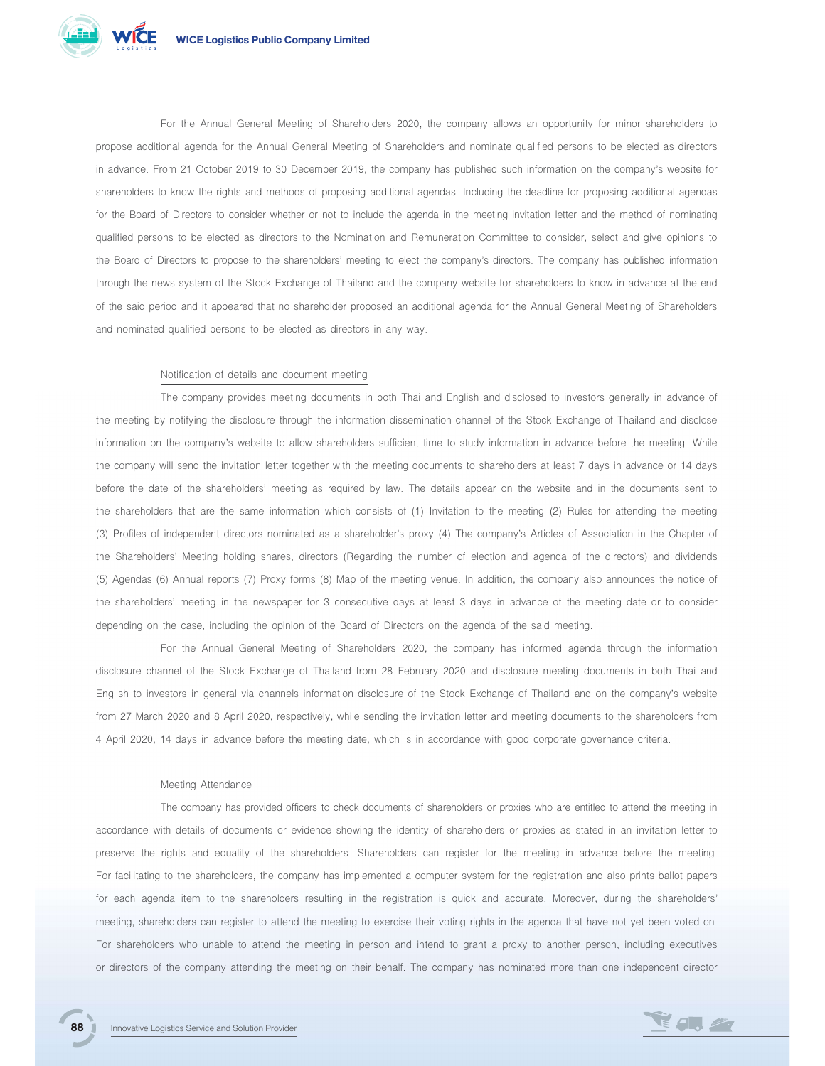

 For the Annual General Meeting of Shareholders 2020, the company allows an opportunity for minor shareholders to propose additional agenda for the Annual General Meeting of Shareholders and nominate qualified persons to be elected as directors in advance. From 21 October 2019 to 30 December 2019, the company has published such information on the company's website for shareholders to know the rights and methods of proposing additional agendas. Including the deadline for proposing additional agendas for the Board of Directors to consider whether or not to include the agenda in the meeting invitation letter and the method of nominating qualified persons to be elected as directors to the Nomination and Remuneration Committee to consider, select and give opinions to the Board of Directors to propose to the shareholders' meeting to elect the company's directors. The company has published information through the news system of the Stock Exchange of Thailand and the company website for shareholders to know in advance at the end of the said period and it appeared that no shareholder proposed an additional agenda for the Annual General Meeting of Shareholders and nominated qualified persons to be elected as directors in any way.

# Notification of details and document meeting

 The company provides meeting documents in both Thai and English and disclosed to investors generally in advance of the meeting by notifying the disclosure through the information dissemination channel of the Stock Exchange of Thailand and disclose information on the company's website to allow shareholders sufficient time to study information in advance before the meeting. While the company will send the invitation letter together with the meeting documents to shareholders at least 7 days in advance or 14 days before the date of the shareholders' meeting as required by law. The details appear on the website and in the documents sent to the shareholders that are the same information which consists of (1) Invitation to the meeting (2) Rules for attending the meeting (3) Profiles of independent directors nominated as a shareholder's proxy (4) The company's Articles of Association in the Chapter of the Shareholders' Meeting holding shares, directors (Regarding the number of election and agenda of the directors) and dividends (5) Agendas (6) Annual reports (7) Proxy forms (8) Map of the meeting venue. In addition, the company also announces the notice of the shareholders' meeting in the newspaper for 3 consecutive days at least 3 days in advance of the meeting date or to consider depending on the case, including the opinion of the Board of Directors on the agenda of the said meeting.

 For the Annual General Meeting of Shareholders 2020, the company has informed agenda through the information disclosure channel of the Stock Exchange of Thailand from 28 February 2020 and disclosure meeting documents in both Thai and English to investors in general via channels information disclosure of the Stock Exchange of Thailand and on the company's website from 27 March 2020 and 8 April 2020, respectively, while sending the invitation letter and meeting documents to the shareholders from 4 April 2020, 14 days in advance before the meeting date, which is in accordance with good corporate governance criteria.

# Meeting Attendance

 The company has provided officers to check documents of shareholders or proxies who are entitled to attend the meeting in accordance with details of documents or evidence showing the identity of shareholders or proxies as stated in an invitation letter to preserve the rights and equality of the shareholders. Shareholders can register for the meeting in advance before the meeting. For facilitating to the shareholders, the company has implemented a computer system for the registration and also prints ballot papers for each agenda item to the shareholders resulting in the registration is quick and accurate. Moreover, during the shareholders' meeting, shareholders can register to attend the meeting to exercise their voting rights in the agenda that have not yet been voted on. For shareholders who unable to attend the meeting in person and intend to grant a proxy to another person, including executives or directors of the company attending the meeting on their behalf. The company has nominated more than one independent director

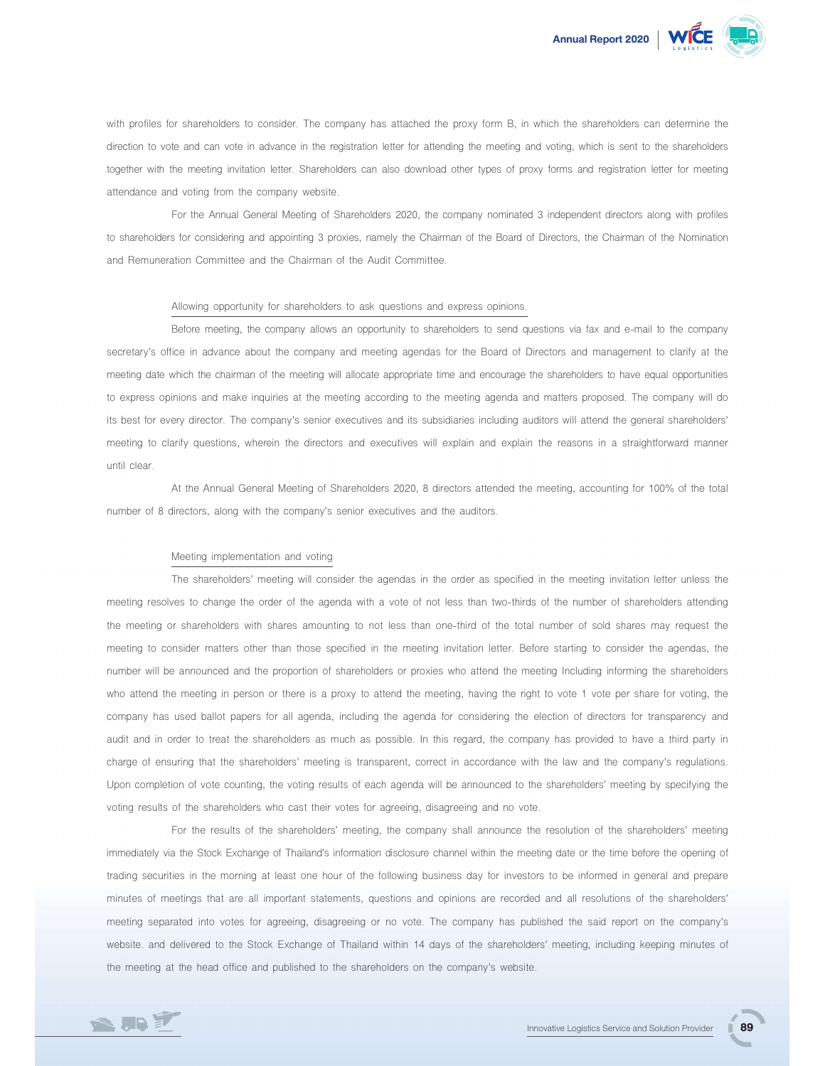with profiles for shareholders to consider. The company has attached the proxy form B, in which the shareholders can determine the direction to vote and can vote in advance in the registration letter for attending the meeting and voting, which is sent to the shareholders together with the meeting invitation letter. Shareholders can also download other types of proxy forms and registration letter for meeting attendance and voting from the company website.

 For the Annual General Meeting of Shareholders 2020, the company nominated 3 independent directors along with profiles to shareholders for considering and appointing 3 proxies, namely the Chairman of the Board of Directors, the Chairman of the Nomination and Remuneration Committee and the Chairman of the Audit Committee.

# Allowing opportunity for shareholders to ask questions and express opinions.

 Before meeting, the company allows an opportunity to shareholders to send questions via fax and e-mail to the company secretary's office in advance about the company and meeting agendas for the Board of Directors and management to clarify at the meeting date which the chairman of the meeting will allocate appropriate time and encourage the shareholders to have equal opportunities to express opinions and make inquiries at the meeting according to the meeting agenda and matters proposed. The company will do its best for every director. The company's senior executives and its subsidiaries including auditors will attend the general shareholders' meeting to clarify questions, wherein the directors and executives will explain and explain the reasons in a straightforward manner until clear.

 At the Annual General Meeting of Shareholders 2020, 8 directors attended the meeting, accounting for 100% of the total number of 8 directors, along with the company's senior executives and the auditors.

#### Meeting implementation and voting

 The shareholders' meeting will consider the agendas in the order as specified in the meeting invitation letter unless the meeting resolves to change the order of the agenda with a vote of not less than two-thirds of the number of shareholders attending the meeting or shareholders with shares amounting to not less than one-third of the total number of sold shares may request the meeting to consider matters other than those specified in the meeting invitation letter. Before starting to consider the agendas, the number will be announced and the proportion of shareholders or proxies who attend the meeting Including informing the shareholders who attend the meeting in person or there is a proxy to attend the meeting, having the right to vote 1 vote per share for voting, the company has used ballot papers for all agenda, including the agenda for considering the election of directors for transparency and audit and in order to treat the shareholders as much as possible. In this regard, the company has provided to have a third party in charge of ensuring that the shareholders' meeting is transparent, correct in accordance with the law and the company's regulations. Upon completion of vote counting, the voting results of each agenda will be announced to the shareholders' meeting by specifying the voting results of the shareholders who cast their votes for agreeing, disagreeing and no vote.

 For the results of the shareholders' meeting, the company shall announce the resolution of the shareholders' meeting immediately via the Stock Exchange of Thailand's information disclosure channel within the meeting date or the time before the opening of trading securities in the morning at least one hour of the following business day for investors to be informed in general and prepare minutes of meetings that are all important statements, questions and opinions are recorded and all resolutions of the shareholders' meeting separated into votes for agreeing, disagreeing or no vote. The company has published the said report on the company's website. and delivered to the Stock Exchange of Thailand within 14 days of the shareholders' meeting, including keeping minutes of the meeting at the head office and published to the shareholders on the company's website.

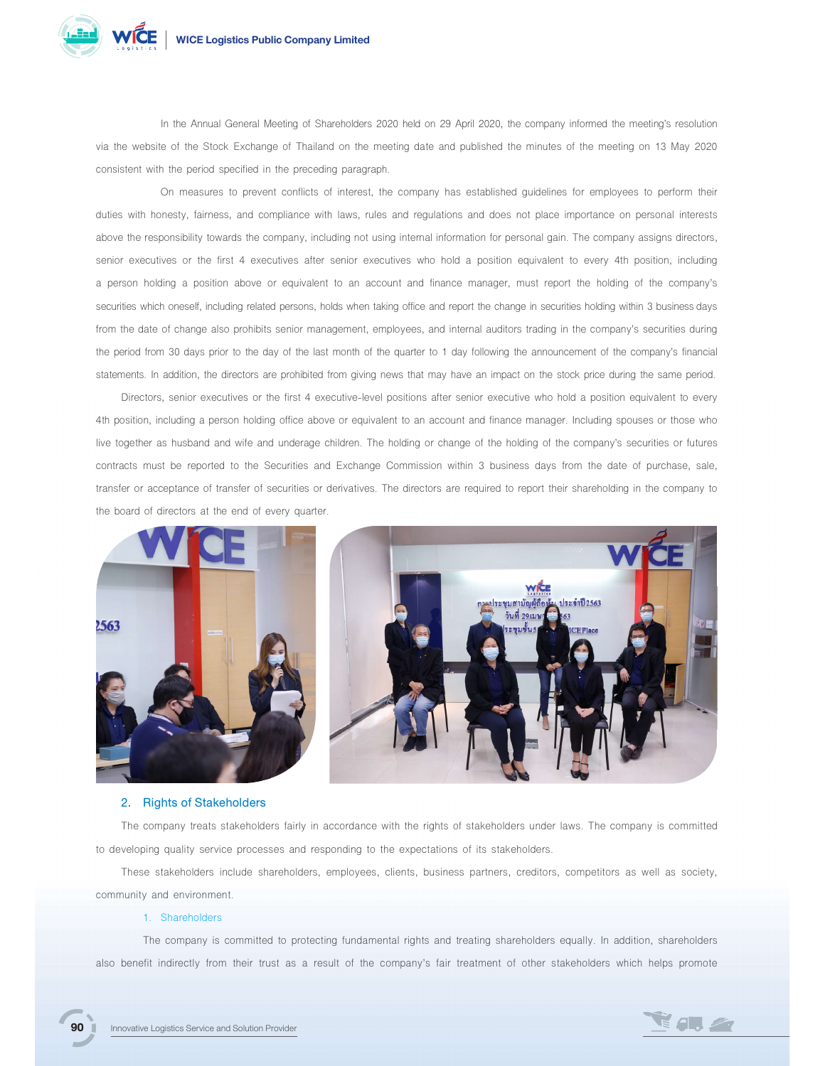

 In the Annual General Meeting of Shareholders 2020 held on 29 April 2020, the company informed the meeting's resolution via the website of the Stock Exchange of Thailand on the meeting date and published the minutes of the meeting on 13 May 2020 consistent with the period specified in the preceding paragraph.

 On measures to prevent conflicts of interest, the company has established guidelines for employees to perform their duties with honesty, fairness, and compliance with laws, rules and regulations and does not place importance on personal interests above the responsibility towards the company, including not using internal information for personal gain. The company assigns directors, senior executives or the first 4 executives after senior executives who hold a position equivalent to every 4th position, including a person holding a position above or equivalent to an account and finance manager, must report the holding of the company's securities which oneself, including related persons, holds when taking office and report the change in securities holding within 3 business days from the date of change also prohibits senior management, employees, and internal auditors trading in the company's securities during the period from 30 days prior to the day of the last month of the quarter to 1 day following the announcement of the company's financial statements. In addition, the directors are prohibited from giving news that may have an impact on the stock price during the same period.

Directors, senior executives or the first 4 executive-level positions after senior executive who hold a position equivalent to every 4th position, including a person holding office above or equivalent to an account and finance manager. Including spouses or those who live together as husband and wife and underage children. The holding or change of the holding of the company's securities or futures contracts must be reported to the Securities and Exchange Commission within 3 business days from the date of purchase, sale, transfer or acceptance of transfer of securities or derivatives. The directors are required to report their shareholding in the company to the board of directors at the end of every quarter.



#### 2. Rights of Stakeholders

The company treats stakeholders fairly in accordance with the rights of stakeholders under laws. The company is committed to developing quality service processes and responding to the expectations of its stakeholders.

These stakeholders include shareholders, employees, clients, business partners, creditors, competitors as well as society, community and environment.

# 1. Shareholders

 The company is committed to protecting fundamental rights and treating shareholders equally. In addition, shareholders also benefit indirectly from their trust as a result of the company's fair treatment of other stakeholders which helps promote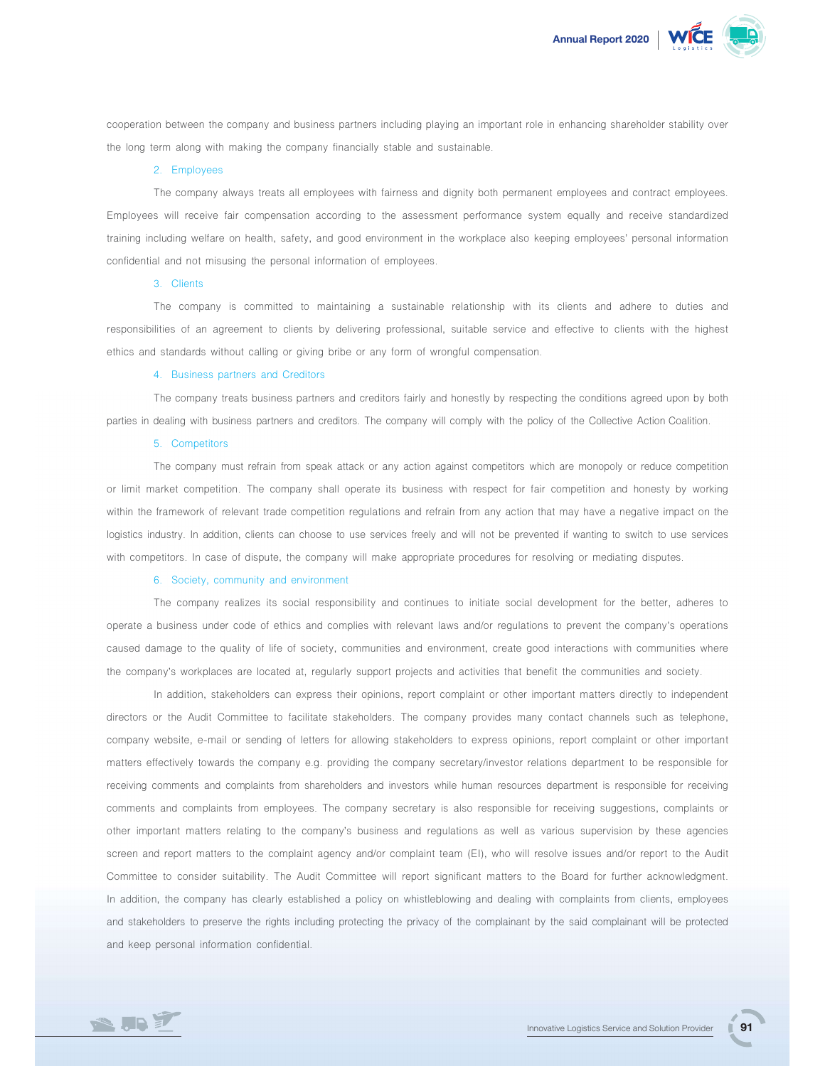

cooperation between the company and business partners including playing an important role in enhancing shareholder stability over the long term along with making the company financially stable and sustainable.

# 2. Employees

 The company always treats all employees with fairness and dignity both permanent employees and contract employees. Employees will receive fair compensation according to the assessment performance system equally and receive standardized training including welfare on health, safety, and good environment in the workplace also keeping employees' personal information confidential and not misusing the personal information of employees.

#### 3. Clients

 The company is committed to maintaining a sustainable relationship with its clients and adhere to duties and responsibilities of an agreement to clients by delivering professional, suitable service and effective to clients with the highest ethics and standards without calling or giving bribe or any form of wrongful compensation.

### 4. Business partners and Creditors

 The company treats business partners and creditors fairly and honestly by respecting the conditions agreed upon by both parties in dealing with business partners and creditors. The company will comply with the policy of the Collective Action Coalition.

#### 5. Competitors

 The company must refrain from speak attack or any action against competitors which are monopoly or reduce competition or limit market competition. The company shall operate its business with respect for fair competition and honesty by working within the framework of relevant trade competition regulations and refrain from any action that may have a negative impact on the logistics industry. In addition, clients can choose to use services freely and will not be prevented if wanting to switch to use services with competitors. In case of dispute, the company will make appropriate procedures for resolving or mediating disputes.

#### 6. Society, community and environment

 The company realizes its social responsibility and continues to initiate social development for the better, adheres to operate a business under code of ethics and complies with relevant laws and/or regulations to prevent the company's operations caused damage to the quality of life of society, communities and environment, create good interactions with communities where the company's workplaces are located at, regularly support projects and activities that benefit the communities and society.

 In addition, stakeholders can express their opinions, report complaint or other important matters directly to independent directors or the Audit Committee to facilitate stakeholders. The company provides many contact channels such as telephone, company website, e-mail or sending of letters for allowing stakeholders to express opinions, report complaint or other important matters effectively towards the company e.g. providing the company secretary/investor relations department to be responsible for receiving comments and complaints from shareholders and investors while human resources department is responsible for receiving comments and complaints from employees. The company secretary is also responsible for receiving suggestions, complaints or other important matters relating to the company's business and regulations as well as various supervision by these agencies screen and report matters to the complaint agency and/or complaint team (EI), who will resolve issues and/or report to the Audit Committee to consider suitability. The Audit Committee will report significant matters to the Board for further acknowledgment. In addition, the company has clearly established a policy on whistleblowing and dealing with complaints from clients, employees and stakeholders to preserve the rights including protecting the privacy of the complainant by the said complainant will be protected and keep personal information confidential.

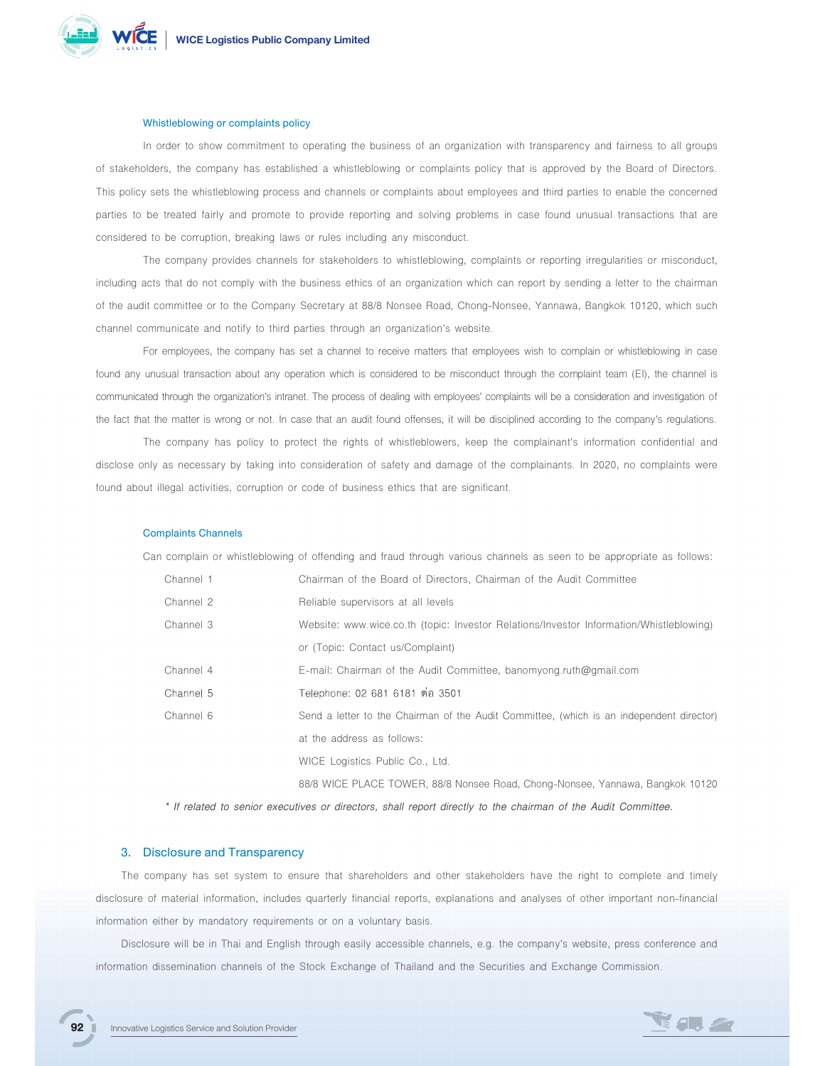

#### Whistleblowing or complaints policy

 In order to show commitment to operating the business of an organization with transparency and fairness to all groups of stakeholders, the company has established a whistleblowing or complaints policy that is approved by the Board of Directors. This policy sets the whistleblowing process and channels or complaints about employees and third parties to enable the concerned parties to be treated fairly and promote to provide reporting and solving problems in case found unusual transactions that are considered to be corruption, breaking laws or rules including any misconduct.

 The company provides channels for stakeholders to whistleblowing, complaints or reporting irregularities or misconduct, including acts that do not comply with the business ethics of an organization which can report by sending a letter to the chairman of the audit committee or to the Company Secretary at 88/8 Nonsee Road, Chong-Nonsee, Yannawa, Bangkok 10120, which such channel communicate and notify to third parties through an organization's website.

 For employees, the company has set a channel to receive matters that employees wish to complain or whistleblowing in case found any unusual transaction about any operation which is considered to be misconduct through the complaint team (EI), the channel is communicated through the organization's intranet. The process of dealing with employees' complaints will be a consideration and investigation of the fact that the matter is wrong or not. In case that an audit found offenses, it will be disciplined according to the company's regulations.

 The company has policy to protect the rights of whistleblowers, keep the complainant's information confidential and disclose only as necessary by taking into consideration of safety and damage of the complainants. In 2020, no complaints were found about illegal activities, corruption or code of business ethics that are significant.

#### Complaints Channels

Can complain or whistleblowing of offending and fraud through various channels as seen to be appropriate as follows:

| Channel 1                                                                                            | Chairman of the Board of Directors, Chairman of the Audit Committee                      |
|------------------------------------------------------------------------------------------------------|------------------------------------------------------------------------------------------|
| Channel 2                                                                                            | Reliable supervisors at all levels                                                       |
| Channel 3<br>Website: www.wice.co.th (topic: Investor Relations/Investor Information/Whistleblowing) |                                                                                          |
|                                                                                                      | or (Topic: Contact us/Complaint)                                                         |
| Channel 4                                                                                            | E-mail: Chairman of the Audit Committee, banomyong.ruth@gmail.com                        |
| Channel 5                                                                                            | Telephone: 02 681 6181 ต่อ 3501                                                          |
| Channel 6                                                                                            | Send a letter to the Chairman of the Audit Committee, (which is an independent director) |
|                                                                                                      | at the address as follows:                                                               |
|                                                                                                      | WICE Logistics Public Co., Ltd.                                                          |
|                                                                                                      | 88/8 WICE PLACE TOWER, 88/8 Nonsee Road, Chong-Nonsee, Yannawa, Bangkok 10120            |
|                                                                                                      |                                                                                          |

\* If related to senior executives or directors, shall report directly to the chairman of the Audit Committee.

## 3. Disclosure and Transparency

The company has set system to ensure that shareholders and other stakeholders have the right to complete and timely disclosure of material information, includes quarterly financial reports, explanations and analyses of other important non-financial information either by mandatory requirements or on a voluntary basis.

Disclosure will be in Thai and English through easily accessible channels, e.g. the company's website, press conference and information dissemination channels of the Stock Exchange of Thailand and the Securities and Exchange Commission.

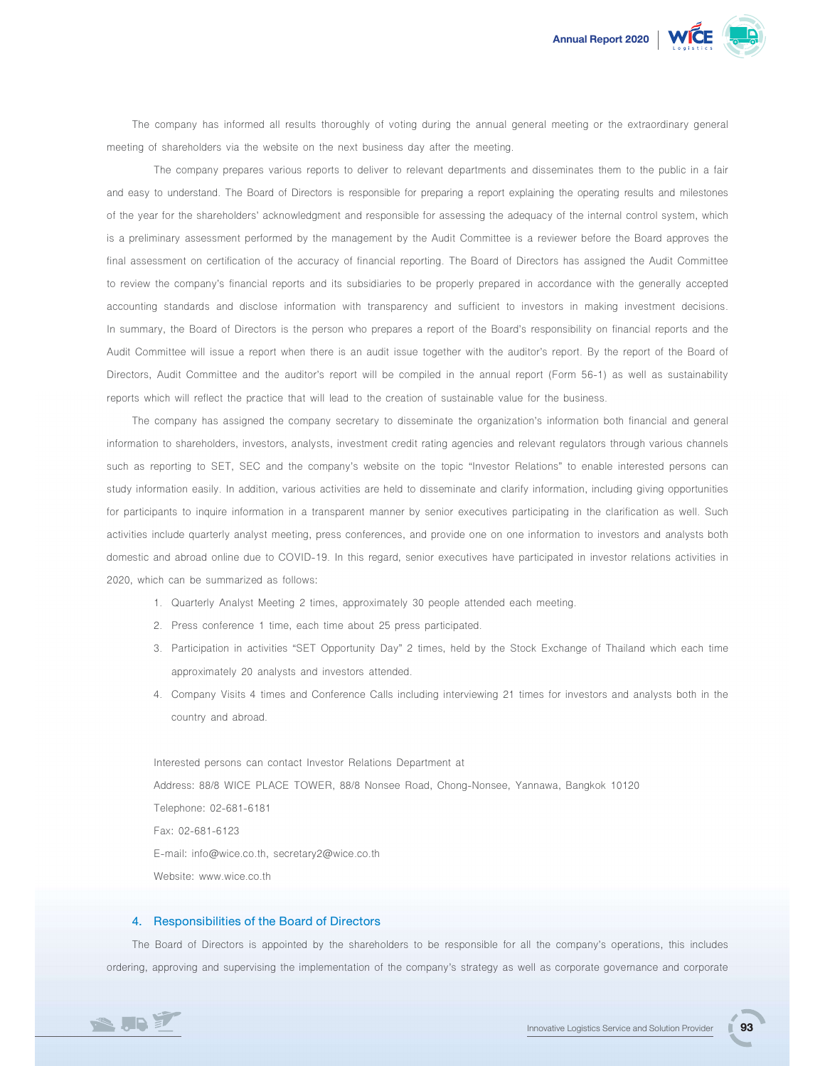

The company has informed all results thoroughly of voting during the annual general meeting or the extraordinary general meeting of shareholders via the website on the next business day after the meeting.

 The company prepares various reports to deliver to relevant departments and disseminates them to the public in a fair and easy to understand. The Board of Directors is responsible for preparing a report explaining the operating results and milestones of the year for the shareholders' acknowledgment and responsible for assessing the adequacy of the internal control system, which is a preliminary assessment performed by the management by the Audit Committee is a reviewer before the Board approves the final assessment on certification of the accuracy of financial reporting. The Board of Directors has assigned the Audit Committee to review the company's financial reports and its subsidiaries to be properly prepared in accordance with the generally accepted accounting standards and disclose information with transparency and sufficient to investors in making investment decisions. In summary, the Board of Directors is the person who prepares a report of the Board's responsibility on financial reports and the Audit Committee will issue a report when there is an audit issue together with the auditor's report. By the report of the Board of Directors, Audit Committee and the auditor's report will be compiled in the annual report (Form 56-1) as well as sustainability reports which will reflect the practice that will lead to the creation of sustainable value for the business.

The company has assigned the company secretary to disseminate the organization's information both financial and general information to shareholders, investors, analysts, investment credit rating agencies and relevant regulators through various channels such as reporting to SET, SEC and the company's website on the topic "Investor Relations" to enable interested persons can study information easily. In addition, various activities are held to disseminate and clarify information, including giving opportunities for participants to inquire information in a transparent manner by senior executives participating in the clarification as well. Such activities include quarterly analyst meeting, press conferences, and provide one on one information to investors and analysts both domestic and abroad online due to COVID-19. In this regard, senior executives have participated in investor relations activities in 2020, which can be summarized as follows:

- 1. Quarterly Analyst Meeting 2 times, approximately 30 people attended each meeting.
- 2. Press conference 1 time, each time about 25 press participated.
- 3. Participation in activities "SET Opportunity Day" 2 times, held by the Stock Exchange of Thailand which each time approximately 20 analysts and investors attended.
- 4. Company Visits 4 times and Conference Calls including interviewing 21 times for investors and analysts both in the country and abroad.

 Interested persons can contact Investor Relations Department at Address: 88/8 WICE PLACE TOWER, 88/8 Nonsee Road, Chong-Nonsee, Yannawa, Bangkok 10120 Telephone: 02-681-6181 Fax: 02-681-6123 E-mail: info@wice.co.th, secretary2@wice.co.th Website: www.wice.co.th

# 4. Responsibilities of the Board of Directors

The Board of Directors is appointed by the shareholders to be responsible for all the company's operations, this includes ordering, approving and supervising the implementation of the company's strategy as well as corporate governance and corporate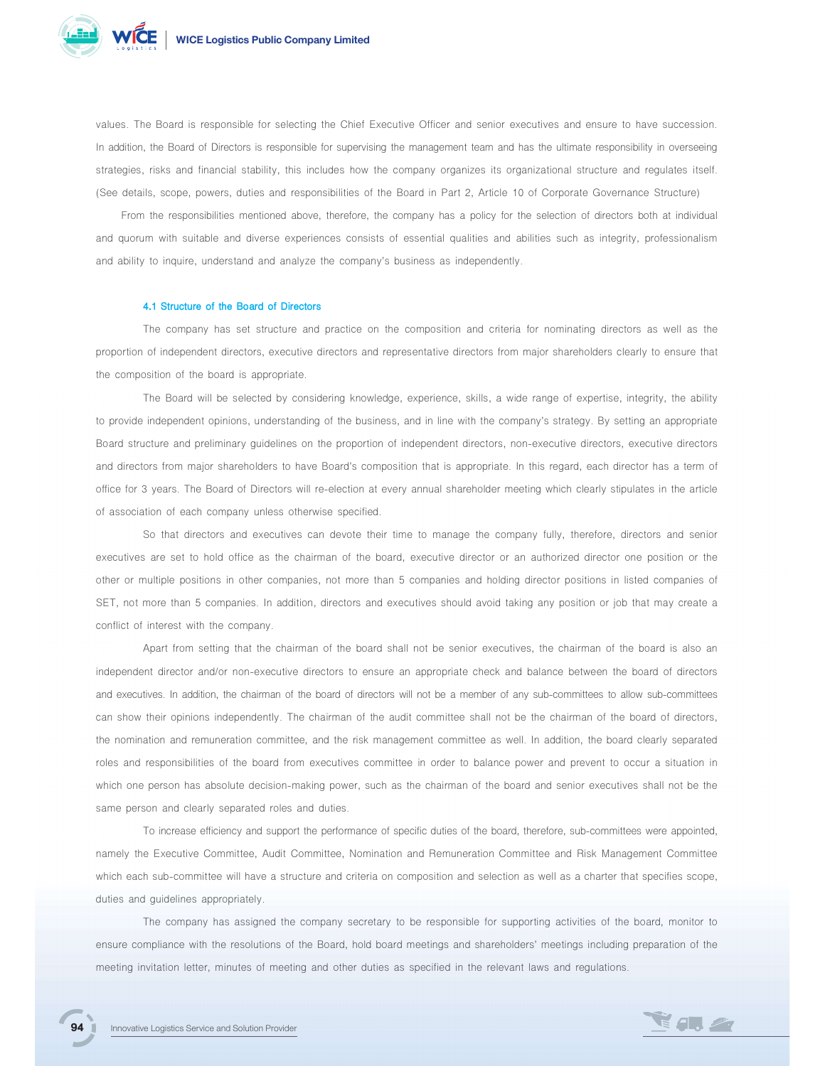

values. The Board is responsible for selecting the Chief Executive Officer and senior executives and ensure to have succession. In addition, the Board of Directors is responsible for supervising the management team and has the ultimate responsibility in overseeing strategies, risks and financial stability, this includes how the company organizes its organizational structure and regulates itself. (See details, scope, powers, duties and responsibilities of the Board in Part 2, Article 10 of Corporate Governance Structure)

From the responsibilities mentioned above, therefore, the company has a policy for the selection of directors both at individual and quorum with suitable and diverse experiences consists of essential qualities and abilities such as integrity, professionalism and ability to inquire, understand and analyze the company's business as independently.

# 4.1 Structure of the Board of Directors

 The company has set structure and practice on the composition and criteria for nominating directors as well as the proportion of independent directors, executive directors and representative directors from major shareholders clearly to ensure that the composition of the board is appropriate.

 The Board will be selected by considering knowledge, experience, skills, a wide range of expertise, integrity, the ability to provide independent opinions, understanding of the business, and in line with the company's strategy. By setting an appropriate Board structure and preliminary guidelines on the proportion of independent directors, non-executive directors, executive directors and directors from major shareholders to have Board's composition that is appropriate. In this regard, each director has a term of office for 3 years. The Board of Directors will re-election at every annual shareholder meeting which clearly stipulates in the article of association of each company unless otherwise specified.

 So that directors and executives can devote their time to manage the company fully, therefore, directors and senior executives are set to hold office as the chairman of the board, executive director or an authorized director one position or the other or multiple positions in other companies, not more than 5 companies and holding director positions in listed companies of SET, not more than 5 companies. In addition, directors and executives should avoid taking any position or job that may create a conflict of interest with the company.

 Apart from setting that the chairman of the board shall not be senior executives, the chairman of the board is also an independent director and/or non-executive directors to ensure an appropriate check and balance between the board of directors and executives. In addition, the chairman of the board of directors will not be a member of any sub-committees to allow sub-committees can show their opinions independently. The chairman of the audit committee shall not be the chairman of the board of directors, the nomination and remuneration committee, and the risk management committee as well. In addition, the board clearly separated roles and responsibilities of the board from executives committee in order to balance power and prevent to occur a situation in which one person has absolute decision-making power, such as the chairman of the board and senior executives shall not be the same person and clearly separated roles and duties.

 To increase efficiency and support the performance of specific duties of the board, therefore, sub-committees were appointed, namely the Executive Committee, Audit Committee, Nomination and Remuneration Committee and Risk Management Committee which each sub-committee will have a structure and criteria on composition and selection as well as a charter that specifies scope, duties and guidelines appropriately.

 The company has assigned the company secretary to be responsible for supporting activities of the board, monitor to ensure compliance with the resolutions of the Board, hold board meetings and shareholders' meetings including preparation of the meeting invitation letter, minutes of meeting and other duties as specified in the relevant laws and regulations.

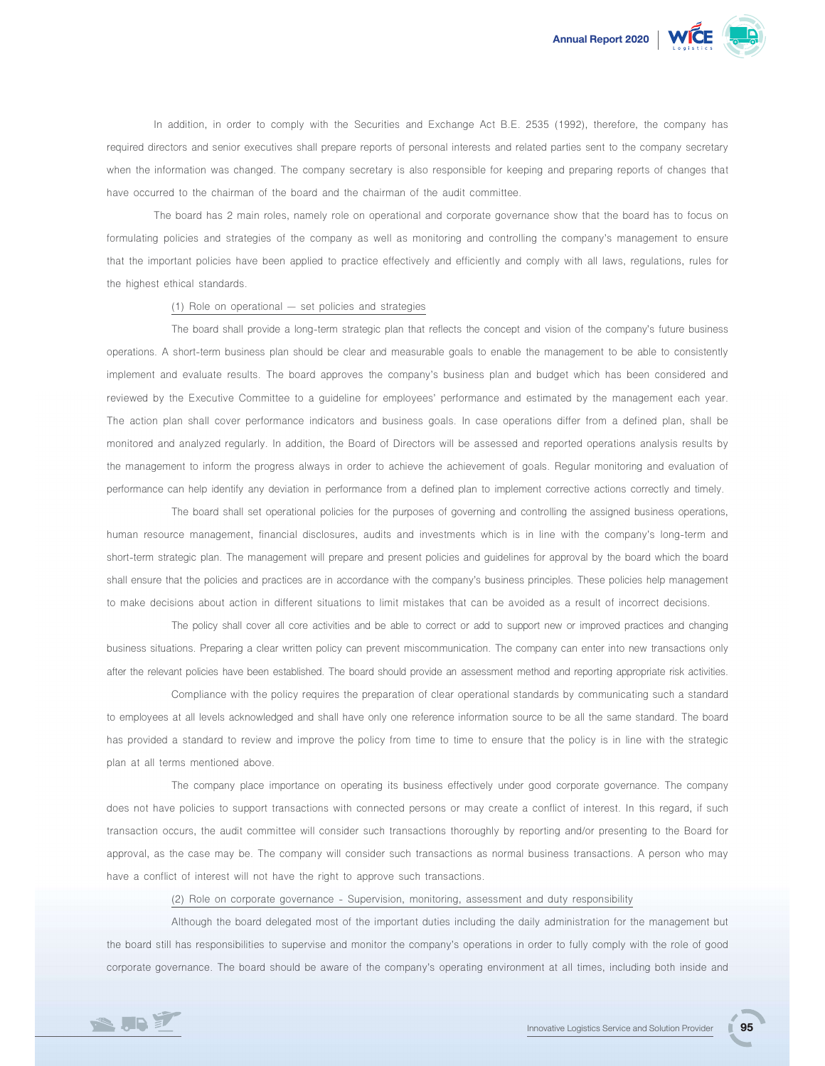In addition, in order to comply with the Securities and Exchange Act B.E. 2535 (1992), therefore, the company has required directors and senior executives shall prepare reports of personal interests and related parties sent to the company secretary when the information was changed. The company secretary is also responsible for keeping and preparing reports of changes that have occurred to the chairman of the board and the chairman of the audit committee.

 The board has 2 main roles, namely role on operational and corporate governance show that the board has to focus on formulating policies and strategies of the company as well as monitoring and controlling the company's management to ensure that the important policies have been applied to practice effectively and efficiently and comply with all laws, regulations, rules for the highest ethical standards.

# (1) Role on operational – set policies and strategies

 The board shall provide a long-term strategic plan that reflects the concept and vision of the company's future business operations. A short-term business plan should be clear and measurable goals to enable the management to be able to consistently implement and evaluate results. The board approves the company's business plan and budget which has been considered and reviewed by the Executive Committee to a guideline for employees' performance and estimated by the management each year. The action plan shall cover performance indicators and business goals. In case operations differ from a defined plan, shall be monitored and analyzed regularly. In addition, the Board of Directors will be assessed and reported operations analysis results by the management to inform the progress always in order to achieve the achievement of goals. Regular monitoring and evaluation of performance can help identify any deviation in performance from a defined plan to implement corrective actions correctly and timely.

 The board shall set operational policies for the purposes of governing and controlling the assigned business operations, human resource management, financial disclosures, audits and investments which is in line with the company's long-term and short-term strategic plan. The management will prepare and present policies and guidelines for approval by the board which the board shall ensure that the policies and practices are in accordance with the company's business principles. These policies help management to make decisions about action in different situations to limit mistakes that can be avoided as a result of incorrect decisions.

 The policy shall cover all core activities and be able to correct or add to support new or improved practices and changing business situations. Preparing a clear written policy can prevent miscommunication. The company can enter into new transactions only after the relevant policies have been established. The board should provide an assessment method and reporting appropriate risk activities.

 Compliance with the policy requires the preparation of clear operational standards by communicating such a standard to employees at all levels acknowledged and shall have only one reference information source to be all the same standard. The board has provided a standard to review and improve the policy from time to time to ensure that the policy is in line with the strategic plan at all terms mentioned above.

 The company place importance on operating its business effectively under good corporate governance. The company does not have policies to support transactions with connected persons or may create a conflict of interest. In this regard, if such transaction occurs, the audit committee will consider such transactions thoroughly by reporting and/or presenting to the Board for approval, as the case may be. The company will consider such transactions as normal business transactions. A person who may have a conflict of interest will not have the right to approve such transactions.

# (2) Role on corporate governance - Supervision, monitoring, assessment and duty responsibility

 Although the board delegated most of the important duties including the daily administration for the management but the board still has responsibilities to supervise and monitor the company's operations in order to fully comply with the role of good corporate governance. The board should be aware of the company's operating environment at all times, including both inside and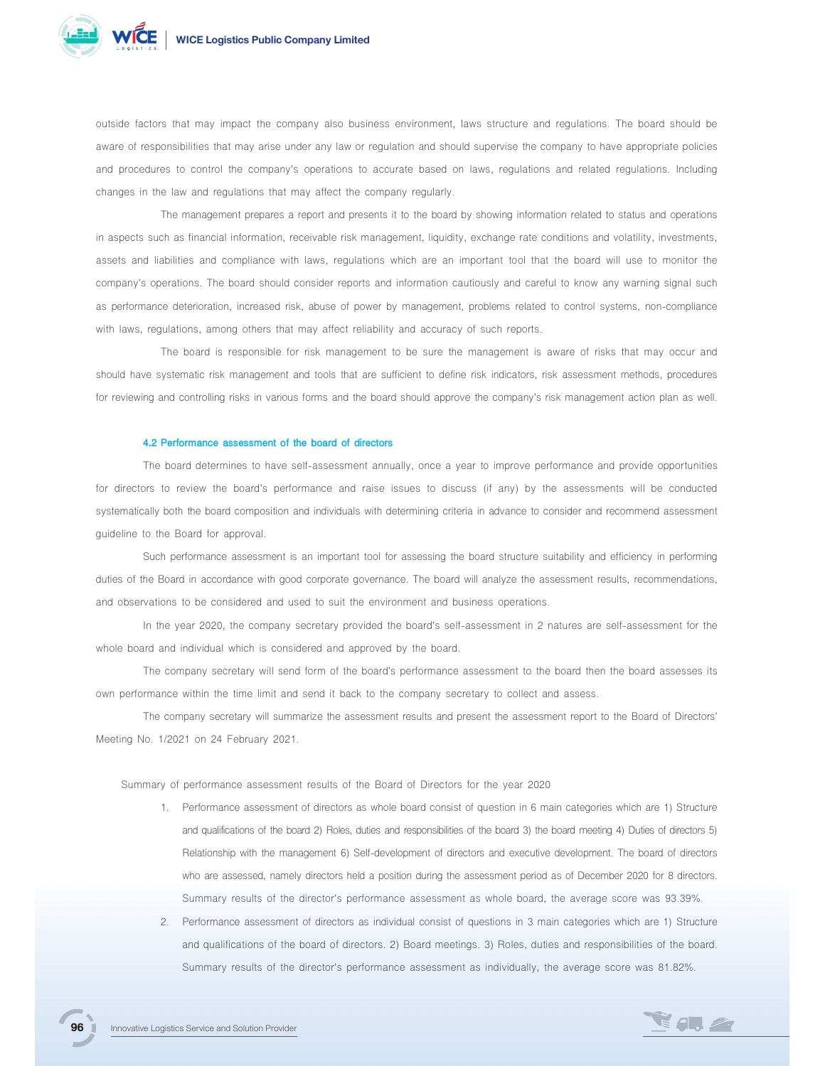

outside factors that may impact the company also business environment, laws structure and regulations. The board should be aware of responsibilities that may arise under any law or regulation and should supervise the company to have appropriate policies and procedures to control the company's operations to accurate based on laws, regulations and related regulations. Including changes in the law and regulations that may affect the company regularly.

 The management prepares a report and presents it to the board by showing information related to status and operations in aspects such as financial information, receivable risk management, liquidity, exchange rate conditions and volatility, investments, assets and liabilities and compliance with laws, regulations which are an important tool that the board will use to monitor the company's operations. The board should consider reports and information cautiously and careful to know any warning signal such as performance deterioration, increased risk, abuse of power by management, problems related to control systems, non-compliance with laws, regulations, among others that may affect reliability and accuracy of such reports.

 The board is responsible for risk management to be sure the management is aware of risks that may occur and should have systematic risk management and tools that are sufficient to define risk indicators, risk assessment methods, procedures for reviewing and controlling risks in various forms and the board should approve the company's risk management action plan as well.

#### 4.2 Performance assessment of the board of directors

 The board determines to have self-assessment annually, once a year to improve performance and provide opportunities for directors to review the board's performance and raise issues to discuss (if any) by the assessments will be conducted systematically both the board composition and individuals with determining criteria in advance to consider and recommend assessment guideline to the Board for approval.

 Such performance assessment is an important tool for assessing the board structure suitability and efficiency in performing duties of the Board in accordance with good corporate governance. The board will analyze the assessment results, recommendations, and observations to be considered and used to suit the environment and business operations.

 In the year 2020, the company secretary provided the board's self-assessment in 2 natures are self-assessment for the whole board and individual which is considered and approved by the board.

 The company secretary will send form of the board's performance assessment to the board then the board assesses its own performance within the time limit and send it back to the company secretary to collect and assess.

 The company secretary will summarize the assessment results and present the assessment report to the Board of Directors' Meeting No. 1/2021 on 24 February 2021.

Summary of performance assessment results of the Board of Directors for the year 2020

- 1. Performance assessment of directors as whole board consist of question in 6 main categories which are 1) Structure and qualifications of the board 2) Roles, duties and responsibilities of the board 3) the board meeting 4) Duties of directors 5) Relationship with the management 6) Self-development of directors and executive development. The board of directors who are assessed, namely directors held a position during the assessment period as of December 2020 for 8 directors. Summary results of the director's performance assessment as whole board, the average score was 93.39%.
- 2. Performance assessment of directors as individual consist of questions in 3 main categories which are 1) Structure and qualifications of the board of directors. 2) Board meetings. 3) Roles, duties and responsibilities of the board. Summary results of the director's performance assessment as individually, the average score was 81.82%.

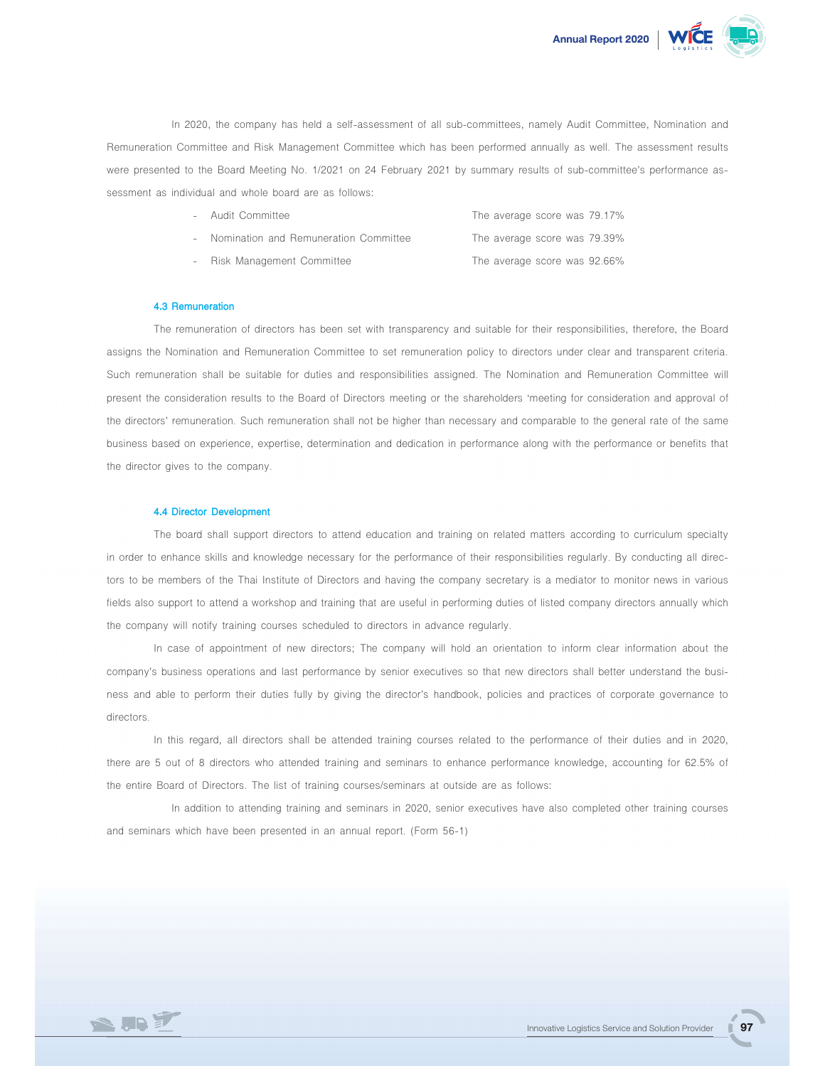

 In 2020, the company has held a self-assessment of all sub-committees, namely Audit Committee, Nomination and Remuneration Committee and Risk Management Committee which has been performed annually as well. The assessment results were presented to the Board Meeting No. 1/2021 on 24 February 2021 by summary results of sub-committee's performance assessment as individual and whole board are as follows:

|  | - Audit Committee                       | The average score was 79.17% |
|--|-----------------------------------------|------------------------------|
|  | - Nomination and Remuneration Committee | The average score was 79.39% |
|  | - Risk Management Committee             | The average score was 92.66% |

#### 4.3 Remuneration

 The remuneration of directors has been set with transparency and suitable for their responsibilities, therefore, the Board assigns the Nomination and Remuneration Committee to set remuneration policy to directors under clear and transparent criteria. Such remuneration shall be suitable for duties and responsibilities assigned. The Nomination and Remuneration Committee will present the consideration results to the Board of Directors meeting or the shareholders 'meeting for consideration and approval of the directors' remuneration. Such remuneration shall not be higher than necessary and comparable to the general rate of the same business based on experience, expertise, determination and dedication in performance along with the performance or benefits that the director gives to the company.

#### 4.4 Director Development

 The board shall support directors to attend education and training on related matters according to curriculum specialty in order to enhance skills and knowledge necessary for the performance of their responsibilities regularly. By conducting all directors to be members of the Thai Institute of Directors and having the company secretary is a mediator to monitor news in various fields also support to attend a workshop and training that are useful in performing duties of listed company directors annually which the company will notify training courses scheduled to directors in advance regularly.

 In case of appointment of new directors; The company will hold an orientation to inform clear information about the company's business operations and last performance by senior executives so that new directors shall better understand the business and able to perform their duties fully by giving the director's handbook, policies and practices of corporate governance to directors.

 In this regard, all directors shall be attended training courses related to the performance of their duties and in 2020, there are 5 out of 8 directors who attended training and seminars to enhance performance knowledge, accounting for 62.5% of the entire Board of Directors. The list of training courses/seminars at outside are as follows:

 In addition to attending training and seminars in 2020, senior executives have also completed other training courses and seminars which have been presented in an annual report. (Form 56-1)

■ 97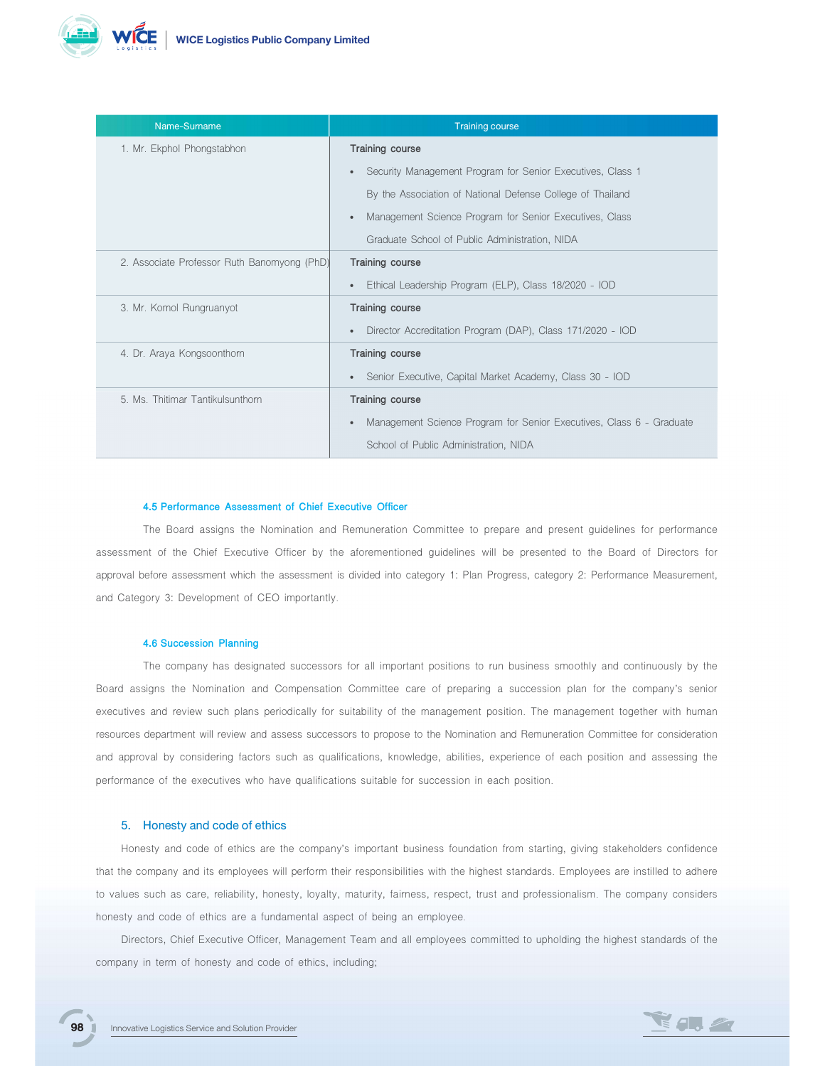

| Name-Surname                                | <b>Training course</b>                                                            |
|---------------------------------------------|-----------------------------------------------------------------------------------|
| 1. Mr. Ekphol Phongstabhon                  | Training course                                                                   |
|                                             | • Security Management Program for Senior Executives, Class 1                      |
|                                             | By the Association of National Defense College of Thailand                        |
|                                             | • Management Science Program for Senior Executives, Class                         |
|                                             | Graduate School of Public Administration, NIDA                                    |
| 2. Associate Professor Ruth Banomyong (PhD) | Training course                                                                   |
|                                             | Ethical Leadership Program (ELP), Class 18/2020 - IOD<br>$\bullet$                |
| 3. Mr. Komol Rungruanyot                    | Training course                                                                   |
|                                             | Director Accreditation Program (DAP), Class 171/2020 - IOD<br>$\bullet$           |
| 4. Dr. Araya Kongsoonthorn                  | Training course                                                                   |
|                                             | Senior Executive, Capital Market Academy, Class 30 - IOD<br>$\bullet$             |
| 5. Ms. Thitimar Tantikulsunthorn            | Training course                                                                   |
|                                             | Management Science Program for Senior Executives, Class 6 - Graduate<br>$\bullet$ |
|                                             | School of Public Administration, NIDA                                             |

#### 4.5 Performance Assessment of Chief Executive Officer

 The Board assigns the Nomination and Remuneration Committee to prepare and present guidelines for performance assessment of the Chief Executive Officer by the aforementioned guidelines will be presented to the Board of Directors for approval before assessment which the assessment is divided into category 1: Plan Progress, category 2: Performance Measurement, and Category 3: Development of CEO importantly.

# 4.6 Succession Planning

 The company has designated successors for all important positions to run business smoothly and continuously by the Board assigns the Nomination and Compensation Committee care of preparing a succession plan for the company's senior executives and review such plans periodically for suitability of the management position. The management together with human resources department will review and assess successors to propose to the Nomination and Remuneration Committee for consideration and approval by considering factors such as qualifications, knowledge, abilities, experience of each position and assessing the performance of the executives who have qualifications suitable for succession in each position.

#### 5. Honesty and code of ethics

Honesty and code of ethics are the company's important business foundation from starting, giving stakeholders confidence that the company and its employees will perform their responsibilities with the highest standards. Employees are instilled to adhere to values such as care, reliability, honesty, loyalty, maturity, fairness, respect, trust and professionalism. The company considers honesty and code of ethics are a fundamental aspect of being an employee.

Directors, Chief Executive Officer, Management Team and all employees committed to upholding the highest standards of the company in term of honesty and code of ethics, including;

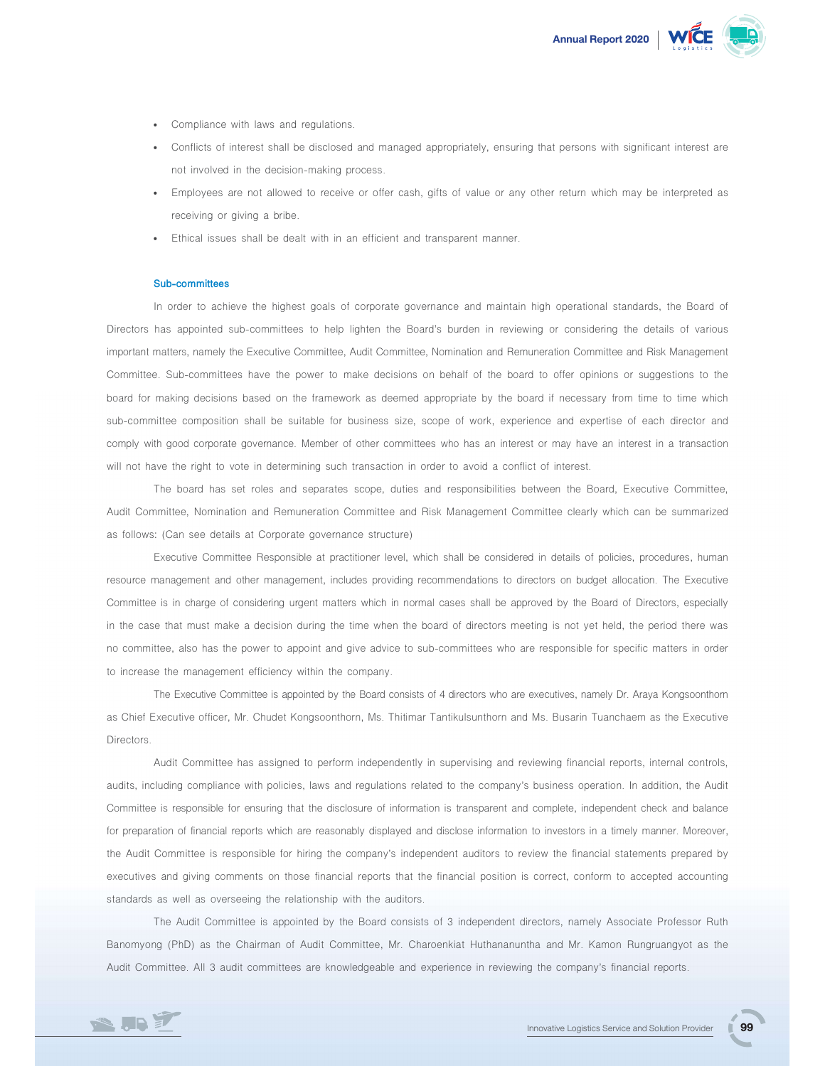

- Compliance with laws and regulations.
- Conflicts of interest shall be disclosed and managed appropriately, ensuring that persons with significant interest are not involved in the decision-making process.
- Employees are not allowed to receive or offer cash, gifts of value or any other return which may be interpreted as receiving or giving a bribe.
- Ethical issues shall be dealt with in an efficient and transparent manner.

#### Sub-committees

 In order to achieve the highest goals of corporate governance and maintain high operational standards, the Board of Directors has appointed sub-committees to help lighten the Board's burden in reviewing or considering the details of various important matters, namely the Executive Committee, Audit Committee, Nomination and Remuneration Committee and Risk Management Committee. Sub-committees have the power to make decisions on behalf of the board to offer opinions or suggestions to the board for making decisions based on the framework as deemed appropriate by the board if necessary from time to time which sub-committee composition shall be suitable for business size, scope of work, experience and expertise of each director and comply with good corporate governance. Member of other committees who has an interest or may have an interest in a transaction will not have the right to vote in determining such transaction in order to avoid a conflict of interest.

 The board has set roles and separates scope, duties and responsibilities between the Board, Executive Committee, Audit Committee, Nomination and Remuneration Committee and Risk Management Committee clearly which can be summarized as follows: (Can see details at Corporate governance structure)

 Executive Committee Responsible at practitioner level, which shall be considered in details of policies, procedures, human resource management and other management, includes providing recommendations to directors on budget allocation. The Executive Committee is in charge of considering urgent matters which in normal cases shall be approved by the Board of Directors, especially in the case that must make a decision during the time when the board of directors meeting is not yet held, the period there was no committee, also has the power to appoint and give advice to sub-committees who are responsible for specific matters in order to increase the management efficiency within the company.

 The Executive Committee is appointed by the Board consists of 4 directors who are executives, namely Dr. Araya Kongsoonthorn as Chief Executive officer, Mr. Chudet Kongsoonthorn, Ms. Thitimar Tantikulsunthorn and Ms. Busarin Tuanchaem as the Executive Directors.

 Audit Committee has assigned to perform independently in supervising and reviewing financial reports, internal controls, audits, including compliance with policies, laws and regulations related to the company's business operation. In addition, the Audit Committee is responsible for ensuring that the disclosure of information is transparent and complete, independent check and balance for preparation of financial reports which are reasonably displayed and disclose information to investors in a timely manner. Moreover, the Audit Committee is responsible for hiring the company's independent auditors to review the financial statements prepared by executives and giving comments on those financial reports that the financial position is correct, conform to accepted accounting standards as well as overseeing the relationship with the auditors.

 The Audit Committee is appointed by the Board consists of 3 independent directors, namely Associate Professor Ruth Banomyong (PhD) as the Chairman of Audit Committee, Mr. Charoenkiat Huthananuntha and Mr. Kamon Rungruangyot as the Audit Committee. All 3 audit committees are knowledgeable and experience in reviewing the company's financial reports.

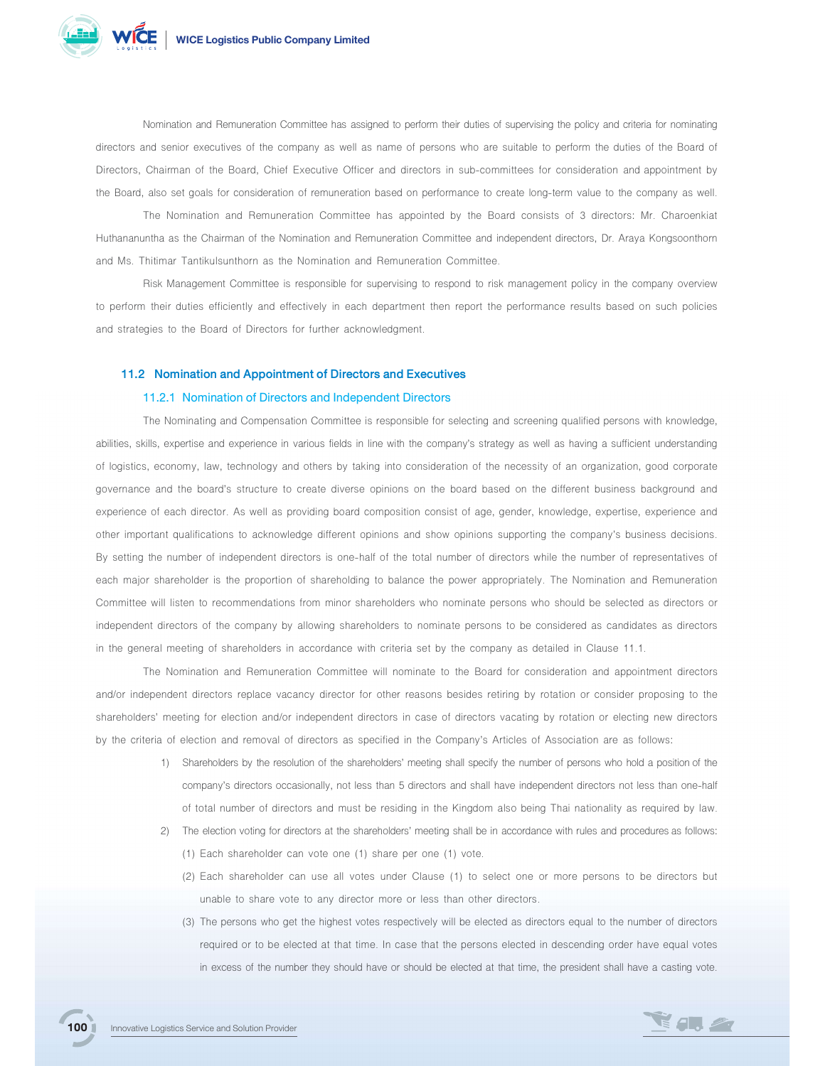

 Nomination and Remuneration Committee has assigned to perform their duties of supervising the policy and criteria for nominating directors and senior executives of the company as well as name of persons who are suitable to perform the duties of the Board of Directors, Chairman of the Board, Chief Executive Officer and directors in sub-committees for consideration and appointment by the Board, also set goals for consideration of remuneration based on performance to create long-term value to the company as well.

 The Nomination and Remuneration Committee has appointed by the Board consists of 3 directors: Mr. Charoenkiat Huthananuntha as the Chairman of the Nomination and Remuneration Committee and independent directors, Dr. Araya Kongsoonthorn and Ms. Thitimar Tantikulsunthorn as the Nomination and Remuneration Committee.

 Risk Management Committee is responsible for supervising to respond to risk management policy in the company overview to perform their duties efficiently and effectively in each department then report the performance results based on such policies and strategies to the Board of Directors for further acknowledgment.

#### 11.2 Nomination and Appointment of Directors and Executives

# 11.2.1 Nomination of Directors and Independent Directors

 The Nominating and Compensation Committee is responsible for selecting and screening qualified persons with knowledge, abilities, skills, expertise and experience in various fields in line with the company's strategy as well as having a sufficient understanding of logistics, economy, law, technology and others by taking into consideration of the necessity of an organization, good corporate governance and the board's structure to create diverse opinions on the board based on the different business background and experience of each director. As well as providing board composition consist of age, gender, knowledge, expertise, experience and other important qualifications to acknowledge different opinions and show opinions supporting the company's business decisions. By setting the number of independent directors is one-half of the total number of directors while the number of representatives of each major shareholder is the proportion of shareholding to balance the power appropriately. The Nomination and Remuneration Committee will listen to recommendations from minor shareholders who nominate persons who should be selected as directors or independent directors of the company by allowing shareholders to nominate persons to be considered as candidates as directors in the general meeting of shareholders in accordance with criteria set by the company as detailed in Clause 11.1.

 The Nomination and Remuneration Committee will nominate to the Board for consideration and appointment directors and/or independent directors replace vacancy director for other reasons besides retiring by rotation or consider proposing to the shareholders' meeting for election and/or independent directors in case of directors vacating by rotation or electing new directors by the criteria of election and removal of directors as specified in the Company's Articles of Association are as follows:

- 1) Shareholders by the resolution of the shareholders' meeting shall specify the number of persons who hold a position of the company's directors occasionally, not less than 5 directors and shall have independent directors not less than one-half of total number of directors and must be residing in the Kingdom also being Thai nationality as required by law.
- 2) The election voting for directors at the shareholders' meeting shall be in accordance with rules and procedures as follows: (1) Each shareholder can vote one (1) share per one (1) vote.
	- (2) Each shareholder can use all votes under Clause (1) to select one or more persons to be directors but unable to share vote to any director more or less than other directors.
	- (3) The persons who get the highest votes respectively will be elected as directors equal to the number of directors required or to be elected at that time. In case that the persons elected in descending order have equal votes in excess of the number they should have or should be elected at that time, the president shall have a casting vote.



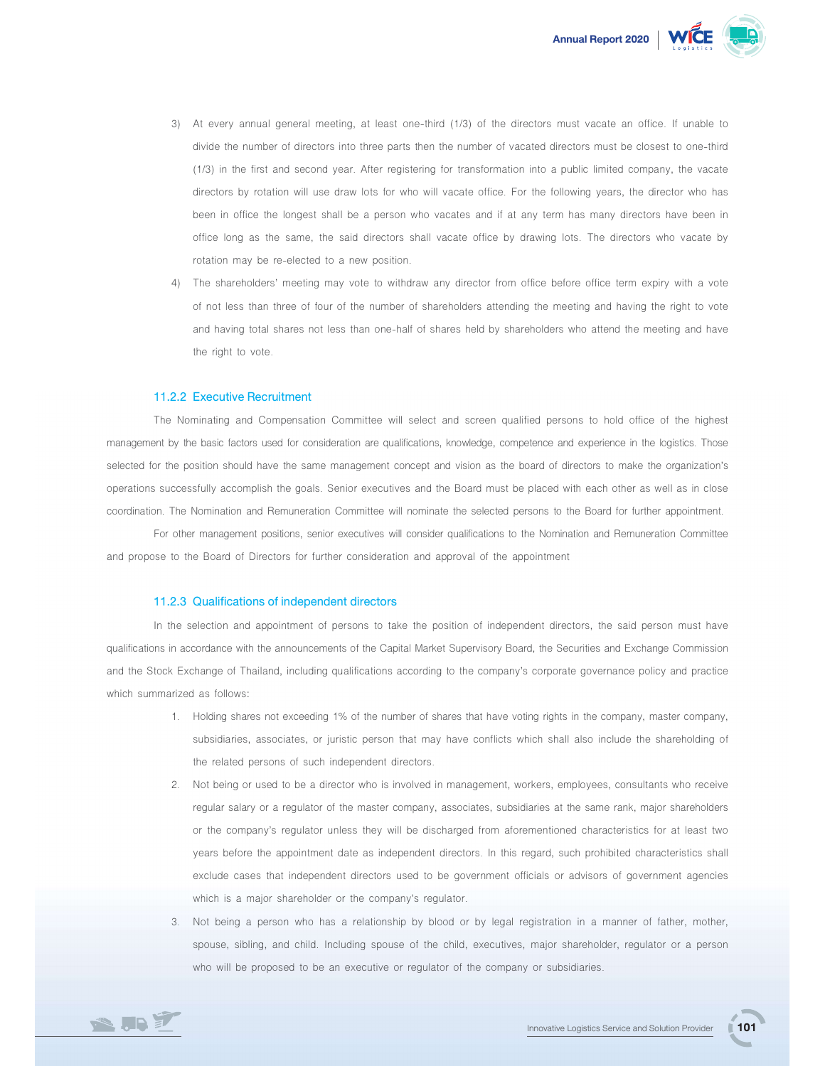

- 3) At every annual general meeting, at least one-third (1/3) of the directors must vacate an office. If unable to divide the number of directors into three parts then the number of vacated directors must be closest to one-third (1/3) in the first and second year. After registering for transformation into a public limited company, the vacate directors by rotation will use draw lots for who will vacate office. For the following years, the director who has been in office the longest shall be a person who vacates and if at any term has many directors have been in office long as the same, the said directors shall vacate office by drawing lots. The directors who vacate by rotation may be re-elected to a new position.
- 4) The shareholders' meeting may vote to withdraw any director from office before office term expiry with a vote of not less than three of four of the number of shareholders attending the meeting and having the right to vote and having total shares not less than one-half of shares held by shareholders who attend the meeting and have the right to vote.

#### 11.2.2 Executive Recruitment

 The Nominating and Compensation Committee will select and screen qualified persons to hold office of the highest management by the basic factors used for consideration are qualifications, knowledge, competence and experience in the logistics. Those selected for the position should have the same management concept and vision as the board of directors to make the organization's operations successfully accomplish the goals. Senior executives and the Board must be placed with each other as well as in close coordination. The Nomination and Remuneration Committee will nominate the selected persons to the Board for further appointment.

 For other management positions, senior executives will consider qualifications to the Nomination and Remuneration Committee and propose to the Board of Directors for further consideration and approval of the appointment

# 11.2.3 Qualifications of independent directors

In the selection and appointment of persons to take the position of independent directors, the said person must have qualifications in accordance with the announcements of the Capital Market Supervisory Board, the Securities and Exchange Commission and the Stock Exchange of Thailand, including qualifications according to the company's corporate governance policy and practice which summarized as follows:

- 1. Holding shares not exceeding 1% of the number of shares that have voting rights in the company, master company, subsidiaries, associates, or juristic person that may have conflicts which shall also include the shareholding of the related persons of such independent directors.
- 2. Not being or used to be a director who is involved in management, workers, employees, consultants who receive regular salary or a regulator of the master company, associates, subsidiaries at the same rank, major shareholders or the company's regulator unless they will be discharged from aforementioned characteristics for at least two years before the appointment date as independent directors. In this regard, such prohibited characteristics shall exclude cases that independent directors used to be government officials or advisors of government agencies which is a major shareholder or the company's regulator.
- 3. Not being a person who has a relationship by blood or by legal registration in a manner of father, mother, spouse, sibling, and child. Including spouse of the child, executives, major shareholder, regulator or a person who will be proposed to be an executive or regulator of the company or subsidiaries.



■ 101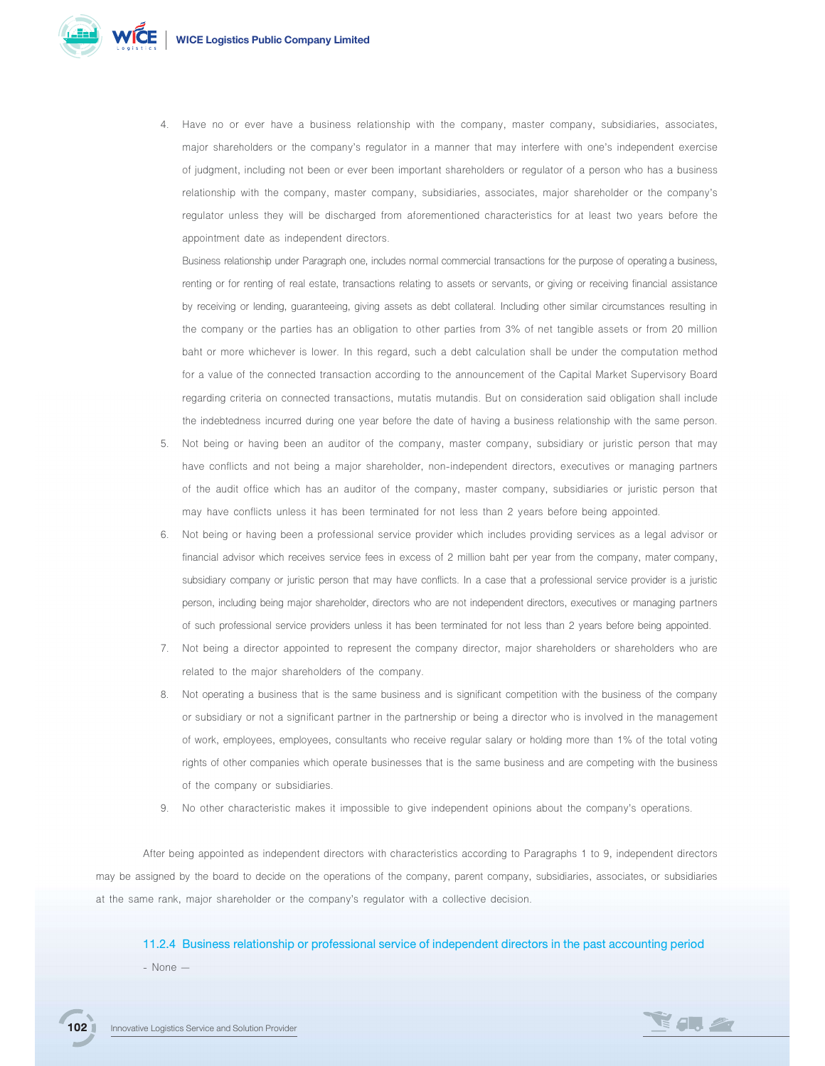

Have no or ever have a business relationship with the company, master company, subsidiaries, associates, major shareholders or the company's regulator in a manner that may interfere with one's independent exercise of judgment, including not been or ever been important shareholders or regulator of a person who has a business relationship with the company, master company, subsidiaries, associates, major shareholder or the company's regulator unless they will be discharged from aforementioned characteristics for at least two years before the appointment date as independent directors.

 Business relationship under Paragraph one, includes normal commercial transactions for the purpose of operating a business, renting or for renting of real estate, transactions relating to assets or servants, or giving or receiving financial assistance by receiving or lending, guaranteeing, giving assets as debt collateral. Including other similar circumstances resulting in the company or the parties has an obligation to other parties from 3% of net tangible assets or from 20 million baht or more whichever is lower. In this regard, such a debt calculation shall be under the computation method for a value of the connected transaction according to the announcement of the Capital Market Supervisory Board regarding criteria on connected transactions, mutatis mutandis. But on consideration said obligation shall include the indebtedness incurred during one year before the date of having a business relationship with the same person.

- 5. Not being or having been an auditor of the company, master company, subsidiary or juristic person that may have conflicts and not being a major shareholder, non-independent directors, executives or managing partners of the audit office which has an auditor of the company, master company, subsidiaries or juristic person that may have conflicts unless it has been terminated for not less than 2 years before being appointed.
- 6. Not being or having been a professional service provider which includes providing services as a legal advisor or financial advisor which receives service fees in excess of 2 million baht per year from the company, mater company, subsidiary company or juristic person that may have conflicts. In a case that a professional service provider is a juristic person, including being major shareholder, directors who are not independent directors, executives or managing partners of such professional service providers unless it has been terminated for not less than 2 years before being appointed.
- 7. Not being a director appointed to represent the company director, major shareholders or shareholders who are related to the major shareholders of the company.
- 8. Not operating a business that is the same business and is significant competition with the business of the company or subsidiary or not a significant partner in the partnership or being a director who is involved in the management of work, employees, employees, consultants who receive regular salary or holding more than 1% of the total voting rights of other companies which operate businesses that is the same business and are competing with the business of the company or subsidiaries.
- 9. No other characteristic makes it impossible to give independent opinions about the company's operations.

 After being appointed as independent directors with characteristics according to Paragraphs 1 to 9, independent directors may be assigned by the board to decide on the operations of the company, parent company, subsidiaries, associates, or subsidiaries at the same rank, major shareholder or the company's regulator with a collective decision.

#### 11.2.4 Business relationship or professional service of independent directors in the past accounting period

- None –